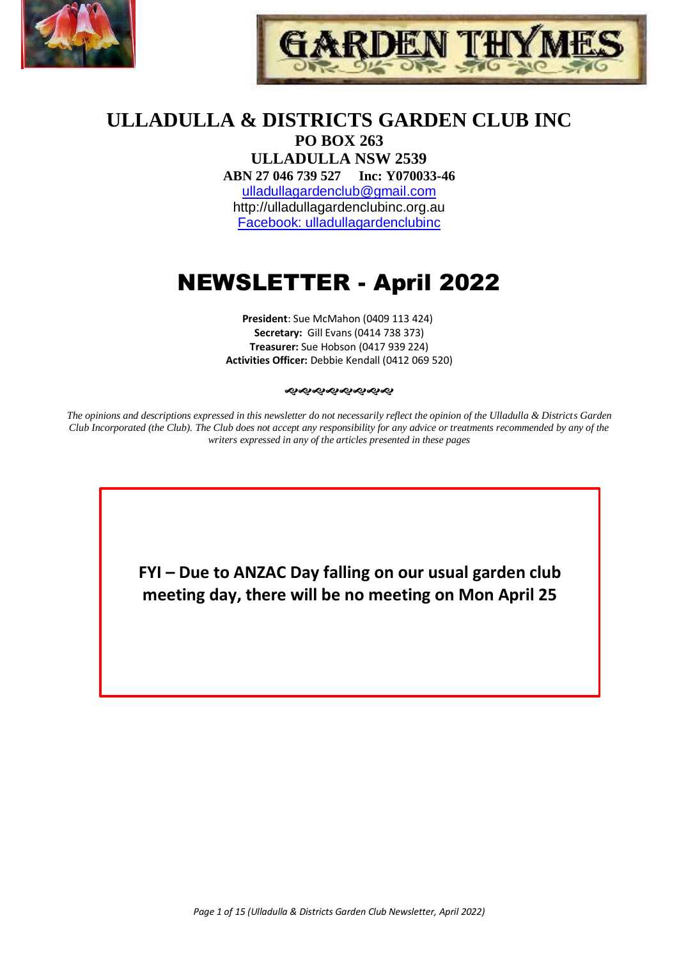



# **ULLADULLA & DISTRICTS GARDEN CLUB INC**

**PO BOX 263 ULLADULLA NSW 2539 ABN 27 046 739 527 Inc: Y070033-46**  [ulladullagardenclub@gmail.com](mailto:ulladullagardenclub@gmail.com) http://ulladullagardenclubinc.org.au Facebook: ulladullagardenclubinc

# NEWSLETTER - April 2022

**President**: Sue McMahon (0409 113 424) **Secretary:** Gill Evans (0414 738 373) **Treasurer:** Sue Hobson (0417 939 224) **Activities Officer:** Debbie Kendall (0412 069 520)

#### **����������**

*The opinions and descriptions expressed in this newsletter do not necessarily reflect the opinion of the Ulladulla & Districts Garden Club Incorporated (the Club). The Club does not accept any responsibility for any advice or treatments recommended by any of the writers expressed in any of the articles presented in these pages*

> **FYI – Due to ANZAC Day falling on our usual garden club meeting day, there will be no meeting on Mon April 25**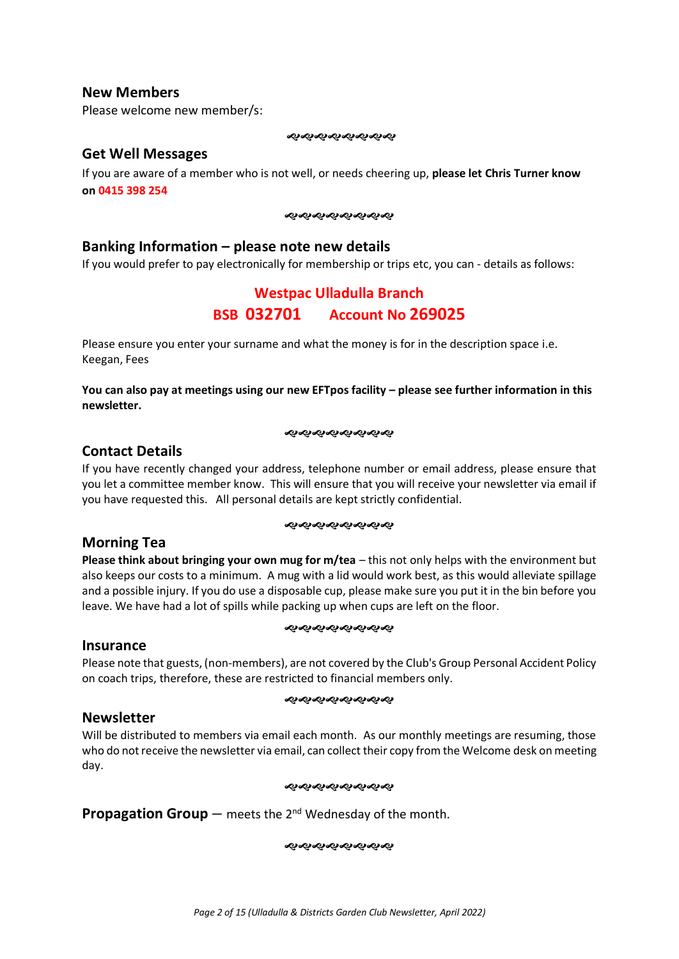### **New Members**

Please welcome new member/s:

#### 

### **Get Well Messages**

If you are aware of a member who is not well, or needs cheering up, **please let Chris Turner know on 0415 398 254**

#### **����������**

### **Banking Information – please note new details**

If you would prefer to pay electronically for membership or trips etc, you can - details as follows:

### **Westpac Ulladulla Branch BSB 032701 Account No 269025**

Please ensure you enter your surname and what the money is for in the description space i.e. Keegan, Fees

**You can also pay at meetings using our new EFTpos facility – please see further information in this newsletter.**

#### **ର୍ଦ୍ଧର୍ଶ୍ୟକ୍ରମ୍ବର**

### **Contact Details**

If you have recently changed your address, telephone number or email address, please ensure that you let a committee member know. This will ensure that you will receive your newsletter via email if you have requested this. All personal details are kept strictly confidential.

#### ෯෯෯෯෯෯෯

### **Morning Tea**

**Please think about bringing your own mug for m/tea** – this not only helps with the environment but also keeps our costs to a minimum. A mug with a lid would work best, as this would alleviate spillage and a possible injury. If you do use a disposable cup, please make sure you put it in the bin before you leave. We have had a lot of spills while packing up when cups are left on the floor.

#### *સ્વર્યસ્વર્યસ્વ* સંદર

#### **Insurance**

Please note that guests, (non-members), are not covered by the Club's Group Personal Accident Policy on coach trips, therefore, these are restricted to financial members only.

#### **����������**

### **Newsletter**

Will be distributed to members via email each month. As our monthly meetings are resuming, those who do not receive the newsletter via email, can collect their copy from the Welcome desk on meeting day.

#### *સ્વર્યસ્વર્યસ્વ* સંદર

**Propagation Group** – meets the 2<sup>nd</sup> Wednesday of the month.

####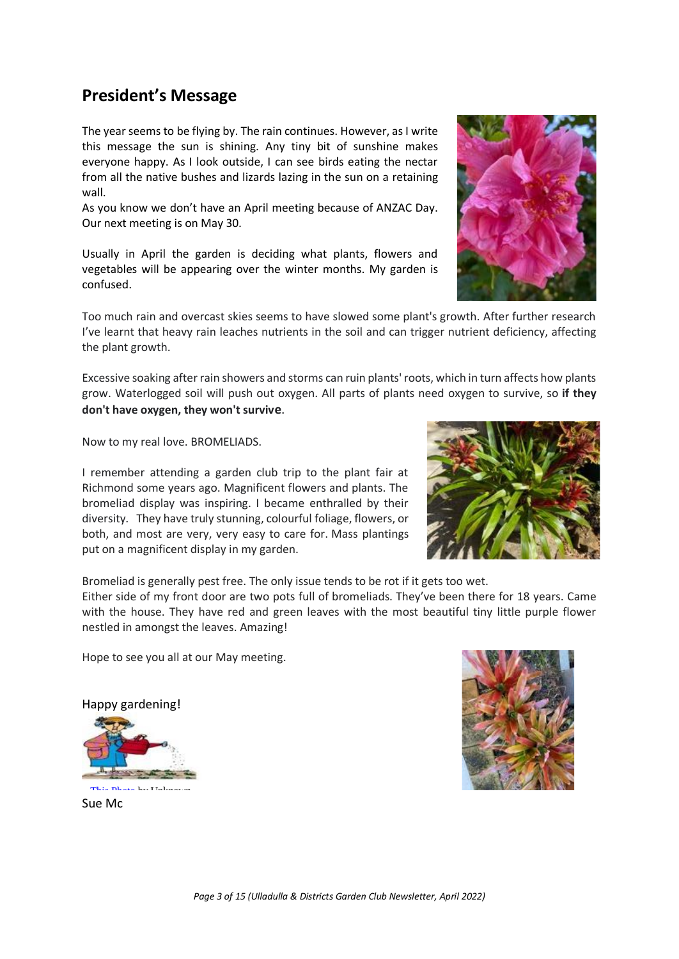# **President's Message**

The year seems to be flying by. The rain continues. However, as I write this message the sun is shining. Any tiny bit of sunshine makes everyone happy. As I look outside, I can see birds eating the nectar from all the native bushes and lizards lazing in the sun on a retaining wall.

As you know we don't have an April meeting because of ANZAC Day. Our next meeting is on May 30.

Usually in April the garden is deciding what plants, flowers and vegetables will be appearing over the winter months. My garden is confused.

Too much rain and overcast skies seems to have slowed some plant's growth. After further research I've learnt that heavy rain leaches nutrients in the soil and can trigger nutrient deficiency, affecting the plant growth.

Excessive soaking after rain showers and storms can ruin plants' roots, which in turn affects how plants grow. Waterlogged soil will push out oxygen. All parts of plants need oxygen to survive, so **if they don't have oxygen, they won't survive**.

Now to my real love. BROMELIADS.

I remember attending a garden club trip to the plant fair at Richmond some years ago. Magnificent flowers and plants. The bromeliad display was inspiring. I became enthralled by their diversity. They have truly stunning, colourful foliage, flowers, or both, and most are very, very easy to care for. Mass plantings put on a magnificent display in my garden.



Bromeliad is generally pest free. The only issue tends to be rot if it gets too wet. Either side of my front door are two pots full of bromeliads. They've been there for 18 years. Came with the house. They have red and green leaves with the most beautiful tiny little purple flower nestled in amongst the leaves. Amazing!

Hope to see you all at our May meeting.

Happy gardening!



.<br>[This Photo](http://dixies-heartandsoul.blogspot.com/2006_09_01_archive.html) by United States

[Sue Mc](https://creativecommons.org/licenses/by-nc-nd/3.0/)



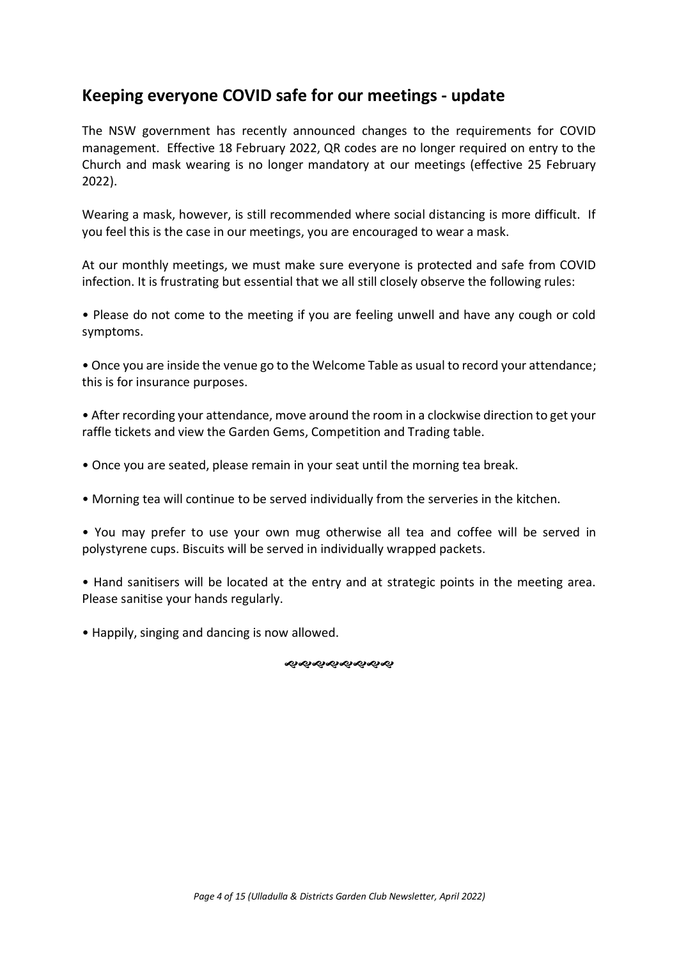# **Keeping everyone COVID safe for our meetings - update**

The NSW government has recently announced changes to the requirements for COVID management. Effective 18 February 2022, QR codes are no longer required on entry to the Church and mask wearing is no longer mandatory at our meetings (effective 25 February 2022).

Wearing a mask, however, is still recommended where social distancing is more difficult. If you feel this is the case in our meetings, you are encouraged to wear a mask.

At our monthly meetings, we must make sure everyone is protected and safe from COVID infection. It is frustrating but essential that we all still closely observe the following rules:

• Please do not come to the meeting if you are feeling unwell and have any cough or cold symptoms.

• Once you are inside the venue go to the Welcome Table as usual to record your attendance; this is for insurance purposes.

• After recording your attendance, move around the room in a clockwise direction to get your raffle tickets and view the Garden Gems, Competition and Trading table.

- Once you are seated, please remain in your seat until the morning tea break.
- Morning tea will continue to be served individually from the serveries in the kitchen.

• You may prefer to use your own mug otherwise all tea and coffee will be served in polystyrene cups. Biscuits will be served in individually wrapped packets.

• Hand sanitisers will be located at the entry and at strategic points in the meeting area. Please sanitise your hands regularly.

• Happily, singing and dancing is now allowed.

**����������**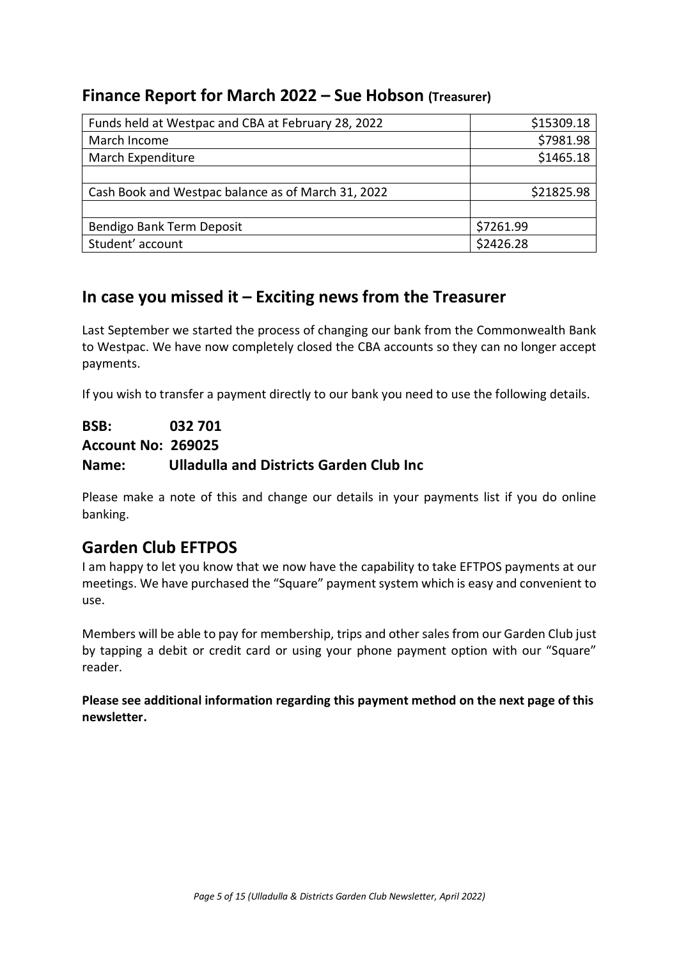### **Finance Report for March 2022 – Sue Hobson (Treasurer)**

| Funds held at Westpac and CBA at February 28, 2022 | \$15309.18 |
|----------------------------------------------------|------------|
| March Income                                       | \$7981.98  |
| March Expenditure                                  | \$1465.18  |
|                                                    |            |
| Cash Book and Westpac balance as of March 31, 2022 | \$21825.98 |
|                                                    |            |
| Bendigo Bank Term Deposit                          | \$7261.99  |
| Student' account                                   | \$2426.28  |

# **In case you missed it – Exciting news from the Treasurer**

Last September we started the process of changing our bank from the Commonwealth Bank to Westpac. We have now completely closed the CBA accounts so they can no longer accept payments.

If you wish to transfer a payment directly to our bank you need to use the following details.

**BSB: 032 701** 

**Account No: 269025**

### **Name: Ulladulla and Districts Garden Club Inc**

Please make a note of this and change our details in your payments list if you do online banking.

# **Garden Club EFTPOS**

I am happy to let you know that we now have the capability to take EFTPOS payments at our meetings. We have purchased the "Square" payment system which is easy and convenient to use.

Members will be able to pay for membership, trips and other sales from our Garden Club just by tapping a debit or credit card or using your phone payment option with our "Square" reader.

**Please see additional information regarding this payment method on the next page of this newsletter.**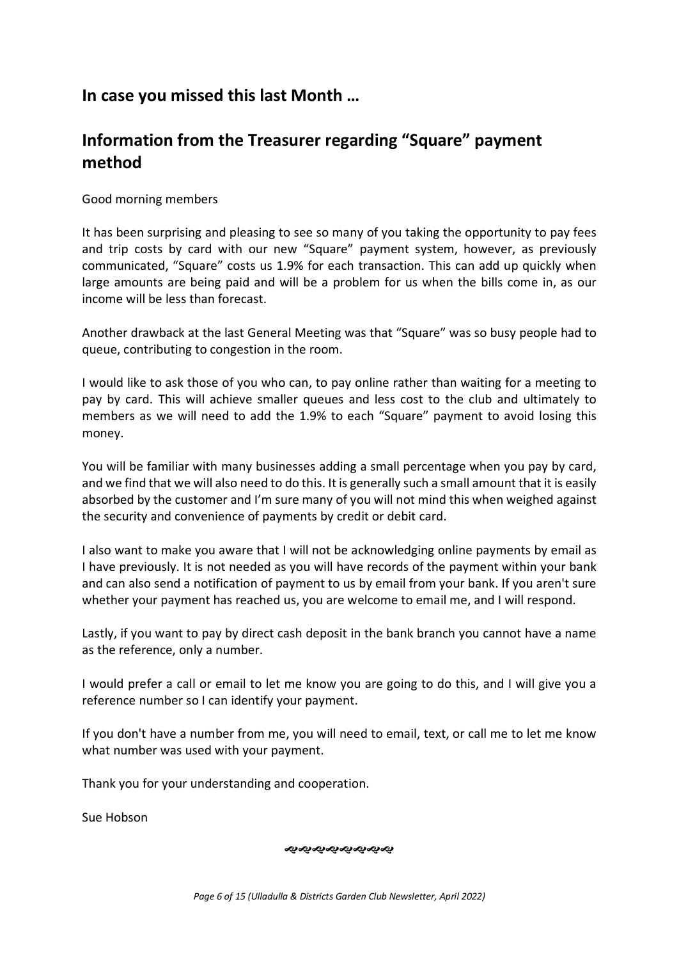# **In case you missed this last Month …**

# **Information from the Treasurer regarding "Square" payment method**

Good morning members

It has been surprising and pleasing to see so many of you taking the opportunity to pay fees and trip costs by card with our new "Square" payment system, however, as previously communicated, "Square" costs us 1.9% for each transaction. This can add up quickly when large amounts are being paid and will be a problem for us when the bills come in, as our income will be less than forecast.

Another drawback at the last General Meeting was that "Square" was so busy people had to queue, contributing to congestion in the room.

I would like to ask those of you who can, to pay online rather than waiting for a meeting to pay by card. This will achieve smaller queues and less cost to the club and ultimately to members as we will need to add the 1.9% to each "Square" payment to avoid losing this money.

You will be familiar with many businesses adding a small percentage when you pay by card, and we find that we will also need to do this. It is generally such a small amount that it is easily absorbed by the customer and I'm sure many of you will not mind this when weighed against the security and convenience of payments by credit or debit card.

I also want to make you aware that I will not be acknowledging online payments by email as I have previously. It is not needed as you will have records of the payment within your bank and can also send a notification of payment to us by email from your bank. If you aren't sure whether your payment has reached us, you are welcome to email me, and I will respond.

Lastly, if you want to pay by direct cash deposit in the bank branch you cannot have a name as the reference, only a number.

I would prefer a call or email to let me know you are going to do this, and I will give you a reference number so I can identify your payment.

If you don't have a number from me, you will need to email, text, or call me to let me know what number was used with your payment.

Thank you for your understanding and cooperation.

Sue Hobson

やややややややや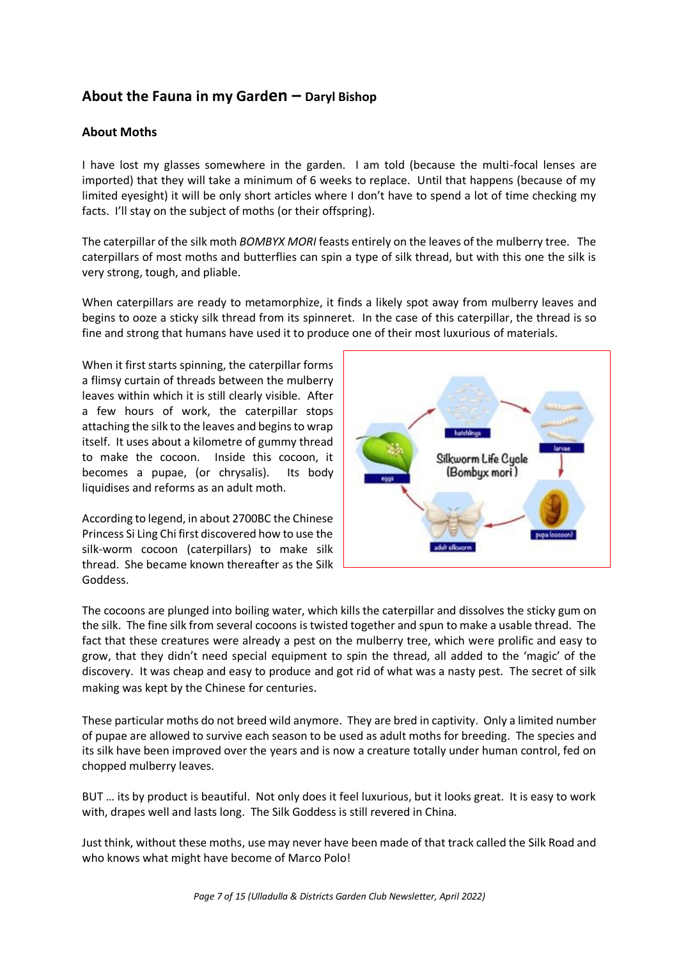### **About the Fauna in my Garden – Daryl Bishop**

### **About Moths**

I have lost my glasses somewhere in the garden. I am told (because the multi-focal lenses are imported) that they will take a minimum of 6 weeks to replace. Until that happens (because of my limited eyesight) it will be only short articles where I don't have to spend a lot of time checking my facts. I'll stay on the subject of moths (or their offspring).

The caterpillar of the silk moth *BOMBYX MORI* feasts entirely on the leaves of the mulberry tree. The caterpillars of most moths and butterflies can spin a type of silk thread, but with this one the silk is very strong, tough, and pliable.

When caterpillars are ready to metamorphize, it finds a likely spot away from mulberry leaves and begins to ooze a sticky silk thread from its spinneret. In the case of this caterpillar, the thread is so fine and strong that humans have used it to produce one of their most luxurious of materials.

When it first starts spinning, the caterpillar forms a flimsy curtain of threads between the mulberry leaves within which it is still clearly visible. After a few hours of work, the caterpillar stops attaching the silk to the leaves and begins to wrap itself. It uses about a kilometre of gummy thread to make the cocoon. Inside this cocoon, it becomes a pupae, (or chrysalis). Its body liquidises and reforms as an adult moth.

According to legend, in about 2700BC the Chinese Princess Si Ling Chi first discovered how to use the silk-worm cocoon (caterpillars) to make silk thread. She became known thereafter as the Silk Goddess.



The cocoons are plunged into boiling water, which kills the caterpillar and dissolves the sticky gum on the silk. The fine silk from several cocoons is twisted together and spun to make a usable thread. The fact that these creatures were already a pest on the mulberry tree, which were prolific and easy to grow, that they didn't need special equipment to spin the thread, all added to the 'magic' of the discovery. It was cheap and easy to produce and got rid of what was a nasty pest. The secret of silk making was kept by the Chinese for centuries.

These particular moths do not breed wild anymore. They are bred in captivity. Only a limited number of pupae are allowed to survive each season to be used as adult moths for breeding. The species and its silk have been improved over the years and is now a creature totally under human control, fed on chopped mulberry leaves.

BUT … its by product is beautiful. Not only does it feel luxurious, but it looks great. It is easy to work with, drapes well and lasts long. The Silk Goddess is still revered in China.

Just think, without these moths, use may never have been made of that track called the Silk Road and who knows what might have become of Marco Polo!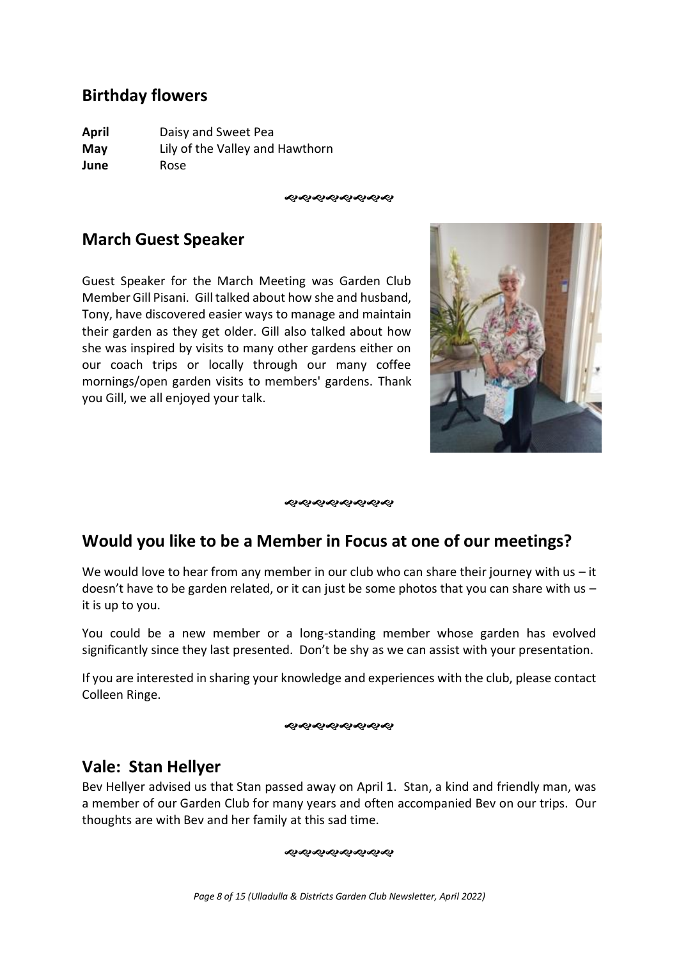# **Birthday flowers**

**April** Daisy and Sweet Pea **May** Lily of the Valley and Hawthorn **June** Rose

**ଜି ଏକ ଏକ ଏକ ଏକ ଏ** 

# **March Guest Speaker**

Guest Speaker for the March Meeting was Garden Club Member Gill Pisani. Gill talked about how she and husband, Tony, have discovered easier ways to manage and maintain their garden as they get older. Gill also talked about how she was inspired by visits to many other gardens either on our coach trips or locally through our many coffee mornings/open garden visits to members' gardens. Thank you Gill, we all enjoyed your talk.



ళుళుళుళుళుళుళు

# **Would you like to be a Member in Focus at one of our meetings?**

We would love to hear from any member in our club who can share their journey with us  $-$  it doesn't have to be garden related, or it can just be some photos that you can share with us – it is up to you.

You could be a new member or a long-standing member whose garden has evolved significantly since they last presented. Don't be shy as we can assist with your presentation.

If you are interested in sharing your knowledge and experiences with the club, please contact Colleen Ringe.

ೲೲೲೲೲೲೲ

# **Vale: Stan Hellyer**

Bev Hellyer advised us that Stan passed away on April 1. Stan, a kind and friendly man, was a member of our Garden Club for many years and often accompanied Bev on our trips. Our thoughts are with Bev and her family at this sad time.

#### やややややややや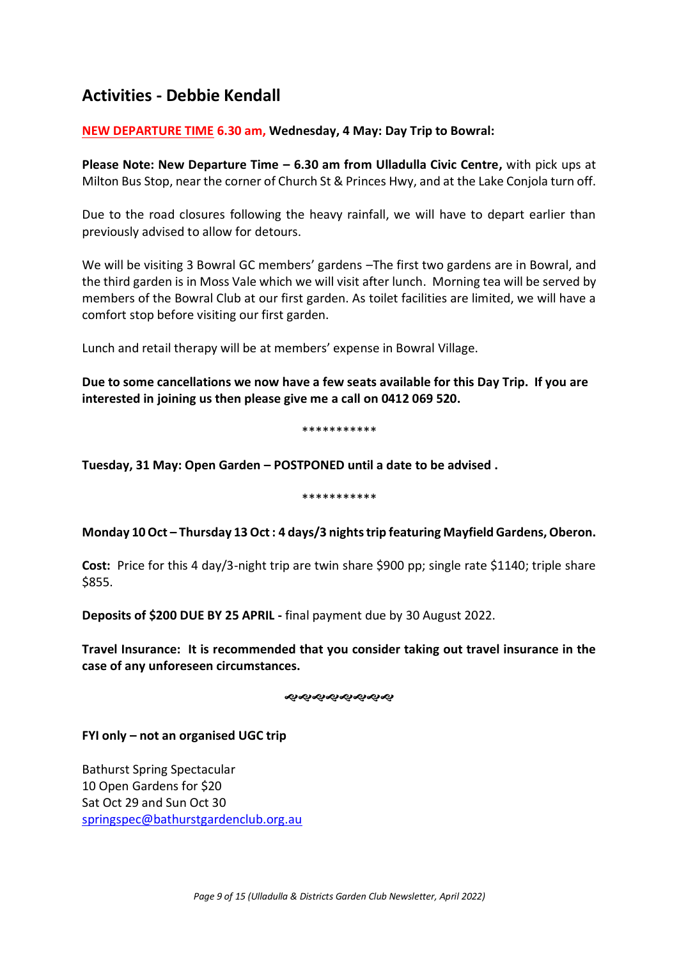# **Activities - Debbie Kendall**

### **NEW DEPARTURE TIME 6.30 am, Wednesday, 4 May: Day Trip to Bowral:**

**Please Note: New Departure Time – 6.30 am from Ulladulla Civic Centre,** with pick ups at Milton Bus Stop, near the corner of Church St & Princes Hwy, and at the Lake Conjola turn off.

Due to the road closures following the heavy rainfall, we will have to depart earlier than previously advised to allow for detours.

We will be visiting 3 Bowral GC members' gardens –The first two gardens are in Bowral, and the third garden is in Moss Vale which we will visit after lunch. Morning tea will be served by members of the Bowral Club at our first garden. As toilet facilities are limited, we will have a comfort stop before visiting our first garden.

Lunch and retail therapy will be at members' expense in Bowral Village.

**Due to some cancellations we now have a few seats available for this Day Trip. If you are interested in joining us then please give me a call on 0412 069 520.**

#### \*\*\*\*\*\*\*\*\*\*\*

**Tuesday, 31 May: Open Garden – POSTPONED until a date to be advised .**

#### \*\*\*\*\*\*\*\*\*\*\*

### **Monday 10 Oct – Thursday 13 Oct : 4 days/3 nights trip featuring Mayfield Gardens, Oberon.**

**Cost:** Price for this 4 day/3-night trip are twin share \$900 pp; single rate \$1140; triple share \$855.

**Deposits of \$200 DUE BY 25 APRIL -** final payment due by 30 August 2022.

**Travel Insurance: It is recommended that you consider taking out travel insurance in the case of any unforeseen circumstances.** 

#### *સ્વર્યસ્વર્યસ્વ* સંદર

### **FYI only – not an organised UGC trip**

Bathurst Spring Spectacular 10 Open Gardens for \$20 Sat Oct 29 and Sun Oct 30 [springspec@bathurstgardenclub.org.au](mailto:springspec@bathurstgardenclub.org.au)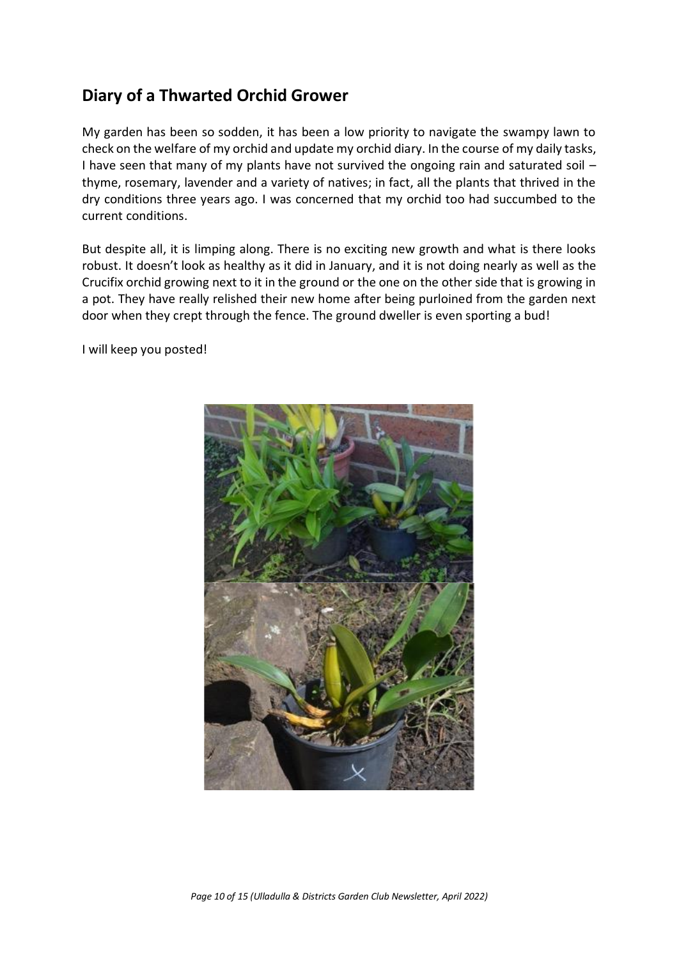# **Diary of a Thwarted Orchid Grower**

My garden has been so sodden, it has been a low priority to navigate the swampy lawn to check on the welfare of my orchid and update my orchid diary. In the course of my daily tasks, I have seen that many of my plants have not survived the ongoing rain and saturated soil – thyme, rosemary, lavender and a variety of natives; in fact, all the plants that thrived in the dry conditions three years ago. I was concerned that my orchid too had succumbed to the current conditions.

But despite all, it is limping along. There is no exciting new growth and what is there looks robust. It doesn't look as healthy as it did in January, and it is not doing nearly as well as the Crucifix orchid growing next to it in the ground or the one on the other side that is growing in a pot. They have really relished their new home after being purloined from the garden next door when they crept through the fence. The ground dweller is even sporting a bud!

I will keep you posted!

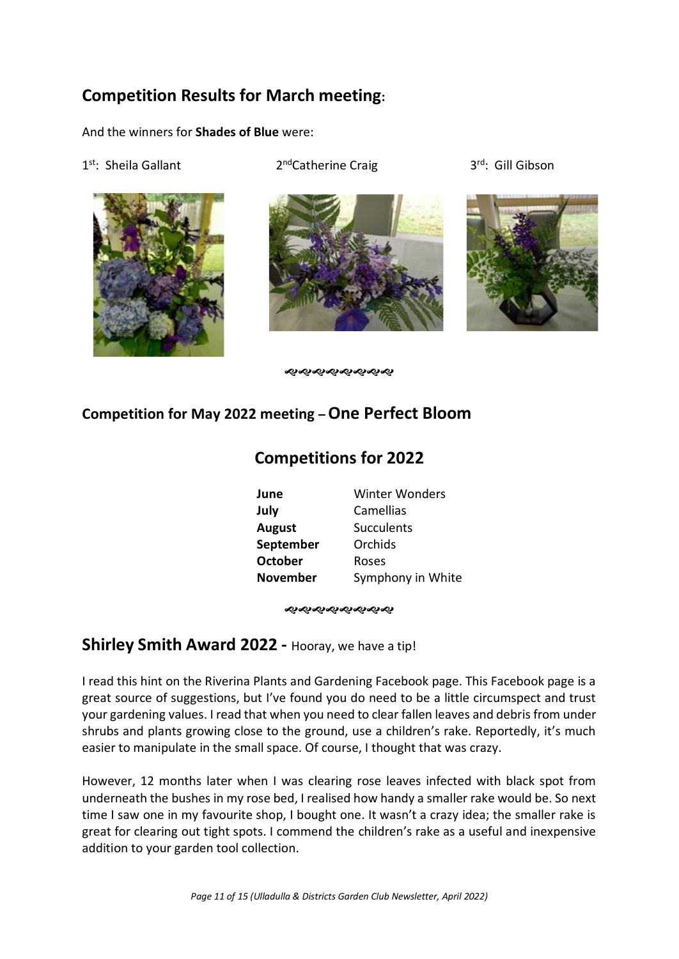# **Competition Results for March meeting:**

And the winners for **Shades of Blue** were:

1<sup>st</sup>: Sheila Gallant 2



2<sup>nd</sup>Catherine Craig



3<sup>rd</sup>: Gill Gibson



ക്കക്കക്കക

# **Competition for May 2022 meeting –One Perfect Bloom**

# **Competitions for 2022**

| June            | <b>Winter Wonders</b> |
|-----------------|-----------------------|
| July            | Camellias             |
| <b>August</b>   | <b>Succulents</b>     |
| September       | Orchids               |
| <b>October</b>  | Roses                 |
| <b>November</b> | Symphony in White     |

#### ଶ**ଏକଶ୍ୟକର୍ୟଟ୍ୟ**

### **Shirley Smith Award 2022 -** Hooray, we have a tip!

I read this hint on the Riverina Plants and Gardening Facebook page. This Facebook page is a great source of suggestions, but I've found you do need to be a little circumspect and trust your gardening values. I read that when you need to clear fallen leaves and debris from under shrubs and plants growing close to the ground, use a children's rake. Reportedly, it's much easier to manipulate in the small space. Of course, I thought that was crazy.

However, 12 months later when I was clearing rose leaves infected with black spot from underneath the bushes in my rose bed, I realised how handy a smaller rake would be. So next time I saw one in my favourite shop, I bought one. It wasn't a crazy idea; the smaller rake is great for clearing out tight spots. I commend the children's rake as a useful and inexpensive addition to your garden tool collection.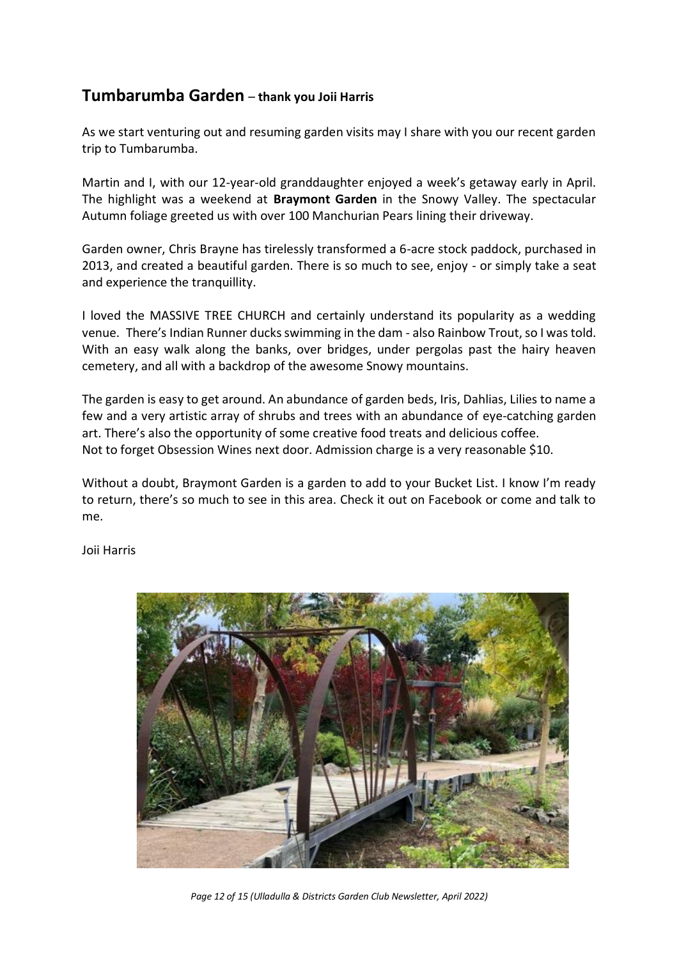### **Tumbarumba Garden** – **thank you Joii Harris**

As we start venturing out and resuming garden visits may I share with you our recent garden trip to Tumbarumba.

Martin and I, with our 12-year-old granddaughter enjoyed a week's getaway early in April. The highlight was a weekend at **Braymont Garden** in the Snowy Valley. The spectacular Autumn foliage greeted us with over 100 Manchurian Pears lining their driveway.

Garden owner, Chris Brayne has tirelessly transformed a 6-acre stock paddock, purchased in 2013, and created a beautiful garden. There is so much to see, enjoy - or simply take a seat and experience the tranquillity.

I loved the MASSIVE TREE CHURCH and certainly understand its popularity as a wedding venue. There's Indian Runner ducks swimming in the dam - also Rainbow Trout, so I was told. With an easy walk along the banks, over bridges, under pergolas past the hairy heaven cemetery, and all with a backdrop of the awesome Snowy mountains.

The garden is easy to get around. An abundance of garden beds, Iris, Dahlias, Lilies to name a few and a very artistic array of shrubs and trees with an abundance of eye-catching garden art. There's also the opportunity of some creative food treats and delicious coffee. Not to forget Obsession Wines next door. Admission charge is a very reasonable \$10.

Without a doubt, Braymont Garden is a garden to add to your Bucket List. I know I'm ready to return, there's so much to see in this area. Check it out on Facebook or come and talk to me.

Joii Harris



*Page 12 of 15 (Ulladulla & Districts Garden Club Newsletter, April 2022)*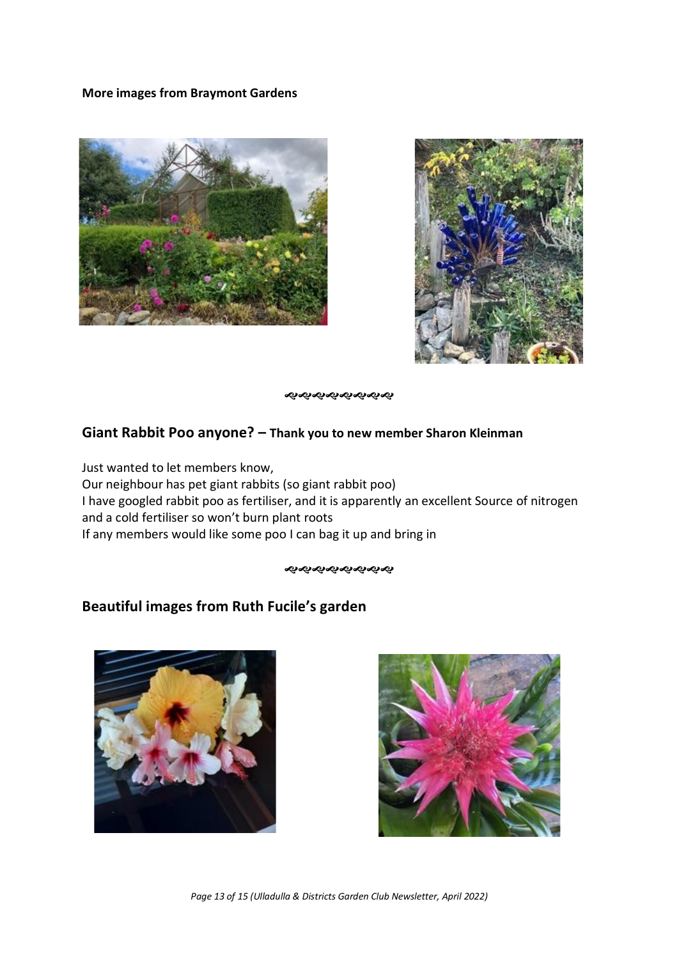### **More images from Braymont Gardens**





ଶ ଶ ଶ ଶ ଶ ଶ ଶ ଶ

### **Giant Rabbit Poo anyone? – Thank you to new member Sharon Kleinman**

Just wanted to let members know, Our neighbour has pet giant rabbits (so giant rabbit poo) I have googled rabbit poo as fertiliser, and it is apparently an excellent Source of nitrogen and a cold fertiliser so won't burn plant roots If any members would like some poo I can bag it up and bring in

### **Beautiful images from Ruth Fucile's garden**





*Page 13 of 15 (Ulladulla & Districts Garden Club Newsletter, April 2022)*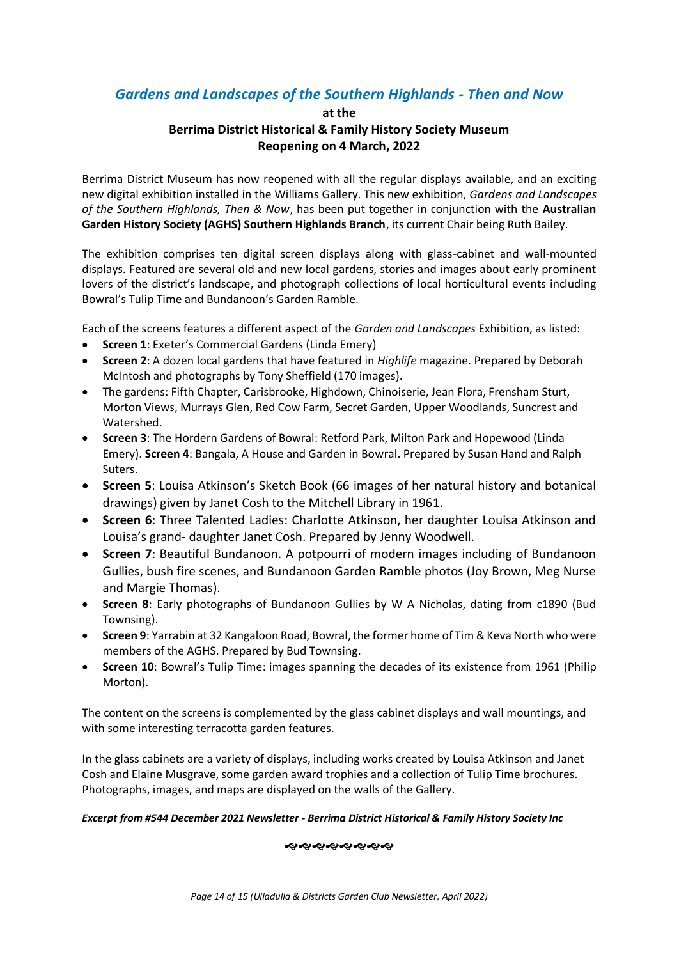### *Gardens and Landscapes of the Southern Highlands - Then and Now*

#### **at the**

### **Berrima District Historical & Family History Society Museum Reopening on 4 March, 2022**

Berrima District Museum has now reopened with all the regular displays available, and an exciting new digital exhibition installed in the Williams Gallery. This new exhibition, *Gardens and Landscapes of the Southern Highlands, Then & Now*, has been put together in conjunction with the **Australian Garden History Society (AGHS) Southern Highlands Branch**, its current Chair being Ruth Bailey.

The exhibition comprises ten digital screen displays along with glass-cabinet and wall-mounted displays. Featured are several old and new local gardens, stories and images about early prominent lovers of the district's landscape, and photograph collections of local horticultural events including Bowral's Tulip Time and Bundanoon's Garden Ramble.

Each of the screens features a different aspect of the *Garden and Landscapes* Exhibition, as listed:

- **Screen 1**: Exeter's Commercial Gardens (Linda Emery)
- **Screen 2**: A dozen local gardens that have featured in *Highlife* magazine. Prepared by Deborah McIntosh and photographs by Tony Sheffield (170 images).
- The gardens: Fifth Chapter, Carisbrooke, Highdown, Chinoiserie, Jean Flora, Frensham Sturt, Morton Views, Murrays Glen, Red Cow Farm, Secret Garden, Upper Woodlands, Suncrest and Watershed.
- **Screen 3**: The Hordern Gardens of Bowral: Retford Park, Milton Park and Hopewood (Linda Emery). **Screen 4**: Bangala, A House and Garden in Bowral. Prepared by Susan Hand and Ralph Suters.
- **Screen 5**: Louisa Atkinson's Sketch Book (66 images of her natural history and botanical drawings) given by Janet Cosh to the Mitchell Library in 1961.
- **Screen 6**: Three Talented Ladies: Charlotte Atkinson, her daughter Louisa Atkinson and Louisa's grand- daughter Janet Cosh. Prepared by Jenny Woodwell.
- **Screen 7**: Beautiful Bundanoon. A potpourri of modern images including of Bundanoon Gullies, bush fire scenes, and Bundanoon Garden Ramble photos (Joy Brown, Meg Nurse and Margie Thomas).
- **Screen 8**: Early photographs of Bundanoon Gullies by W A Nicholas, dating from c1890 (Bud Townsing).
- **Screen 9**: Yarrabin at 32 Kangaloon Road, Bowral, the former home of Tim & Keva North who were members of the AGHS. Prepared by Bud Townsing.
- **Screen 10**: Bowral's Tulip Time: images spanning the decades of its existence from 1961 (Philip Morton).

The content on the screens is complemented by the glass cabinet displays and wall mountings, and with some interesting terracotta garden features.

In the glass cabinets are a variety of displays, including works created by Louisa Atkinson and Janet Cosh and Elaine Musgrave, some garden award trophies and a collection of Tulip Time brochures. Photographs, images, and maps are displayed on the walls of the Gallery.

#### *Excerpt from #544 December 2021 Newsletter - Berrima District Historical & Family History Society Inc*

#### **����������**